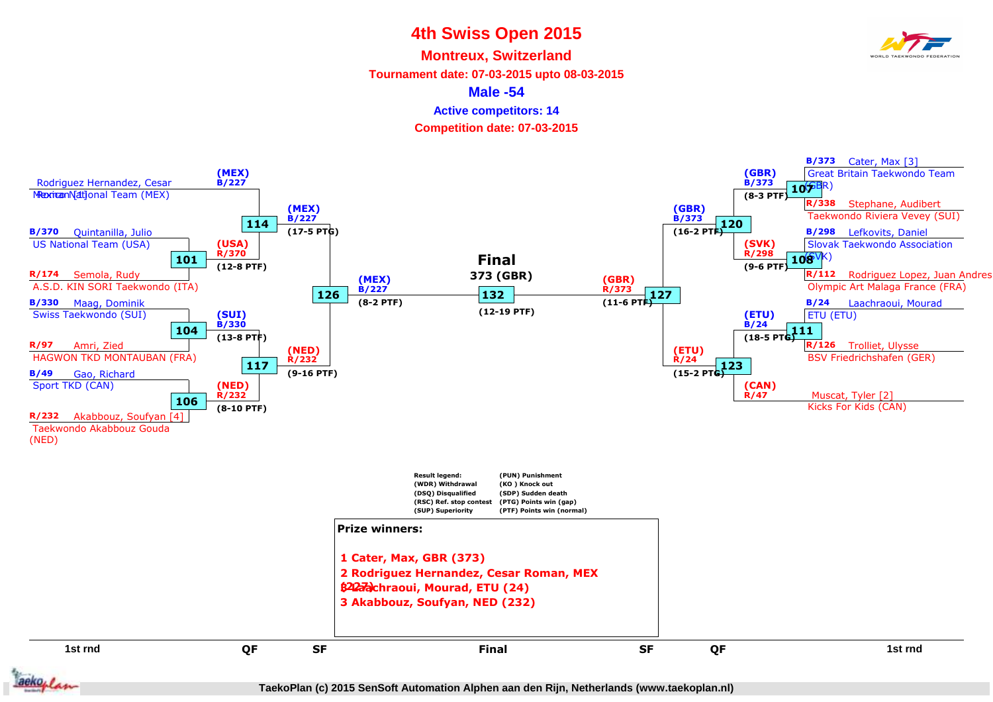**Montreux, Switzerland**

**Tournament date: 07-03-2015 upto 08-03-2015**

**Male -54**

**Active competitors: 14**

**Competition date: 07-03-2015**

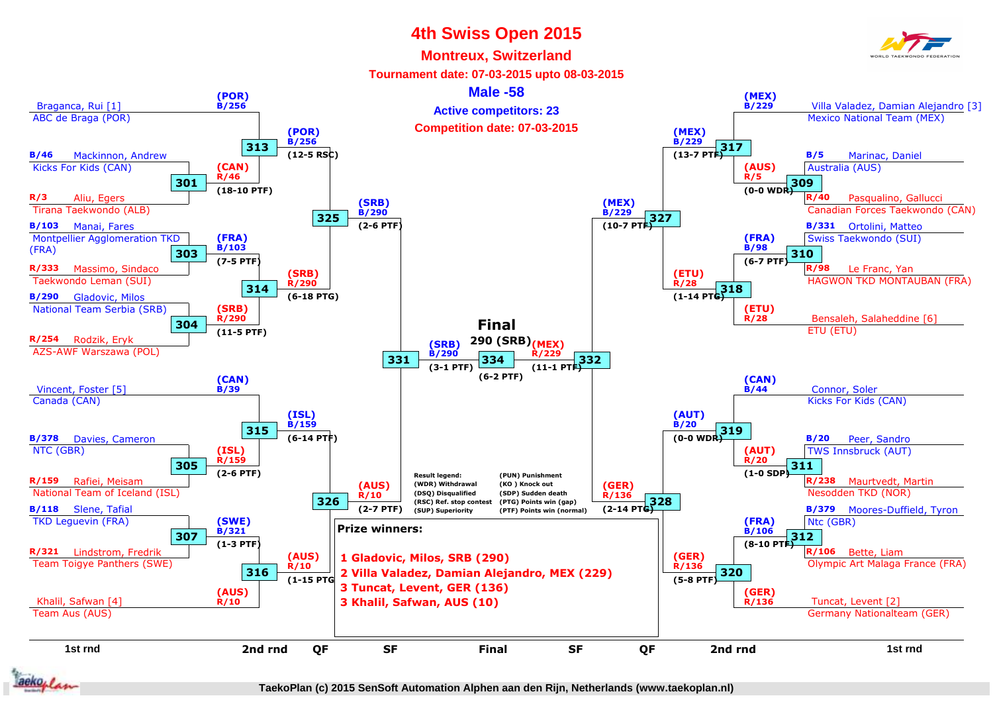#### **Montreux, Switzerland**

**Tournament date: 07-03-2015 upto 08-03-2015**

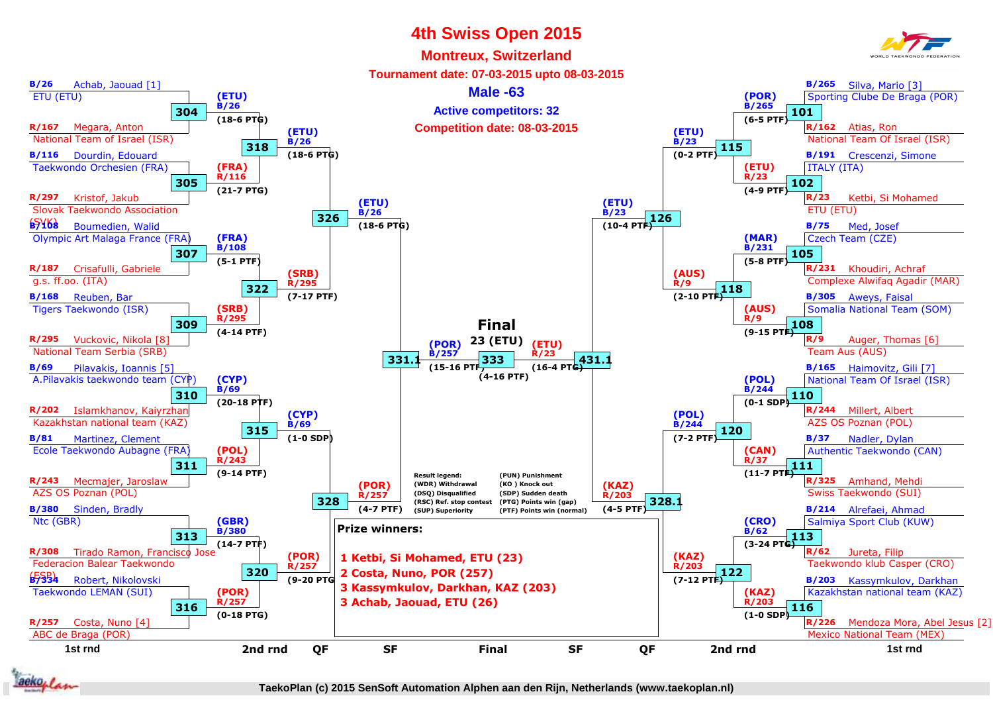

#### **Montreux, Switzerland**



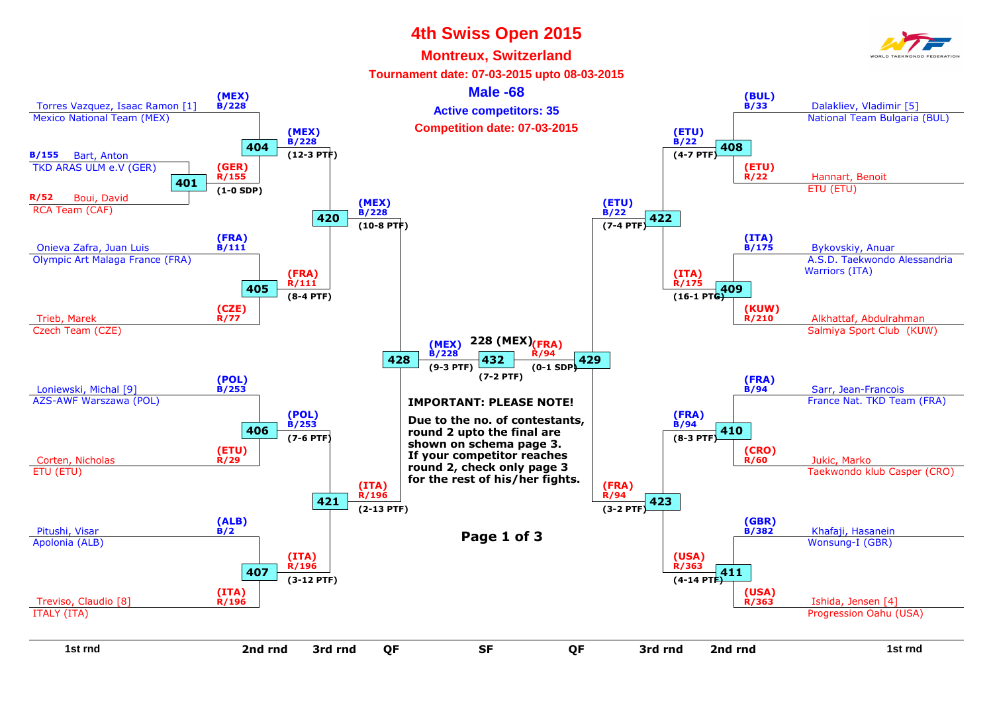



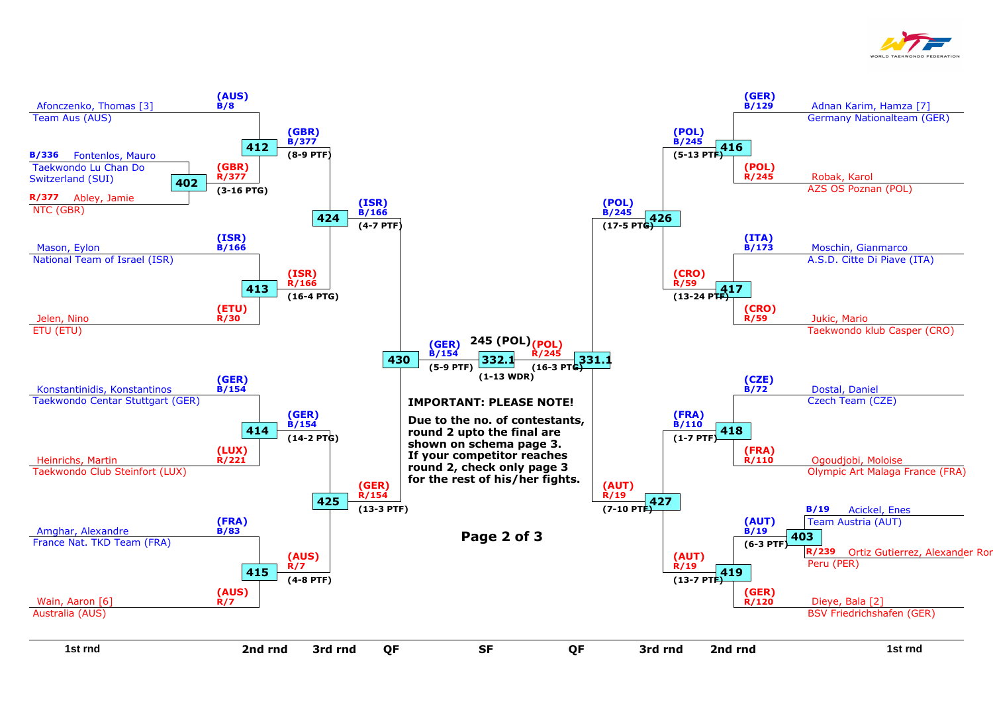

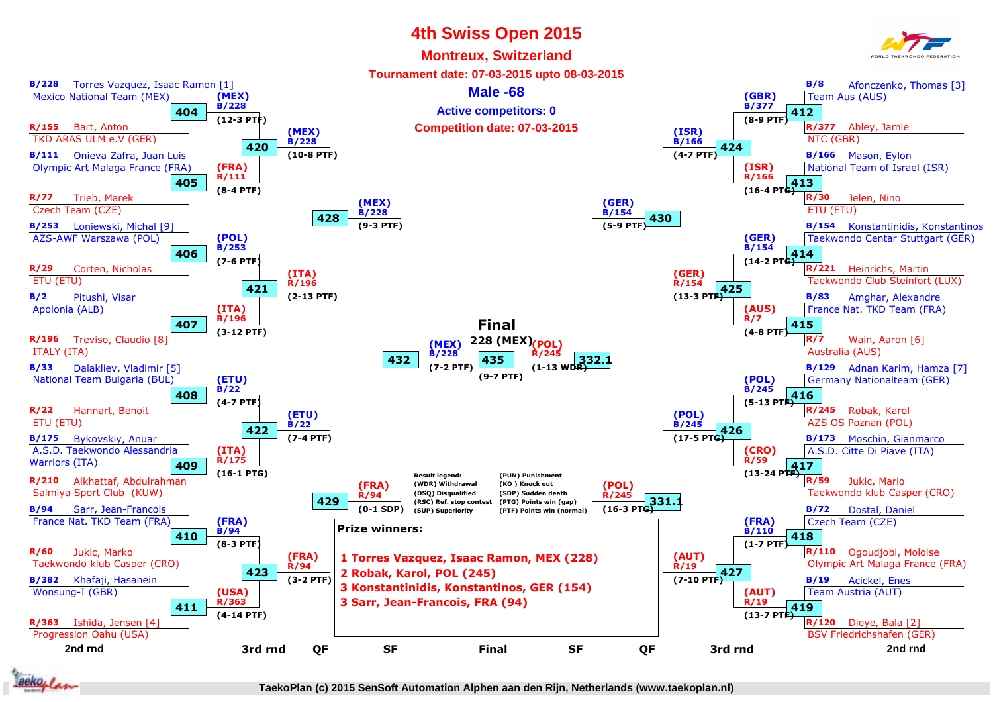### **4th Swiss Open 2015Montreux, Switzerland**



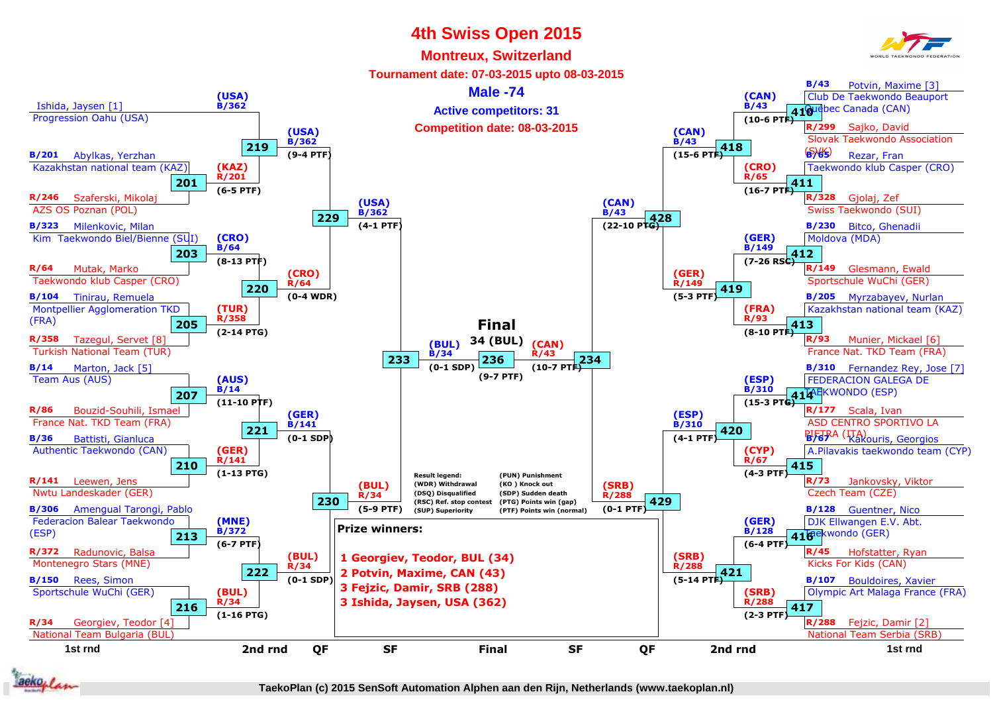#### **Montreux, Switzerland**







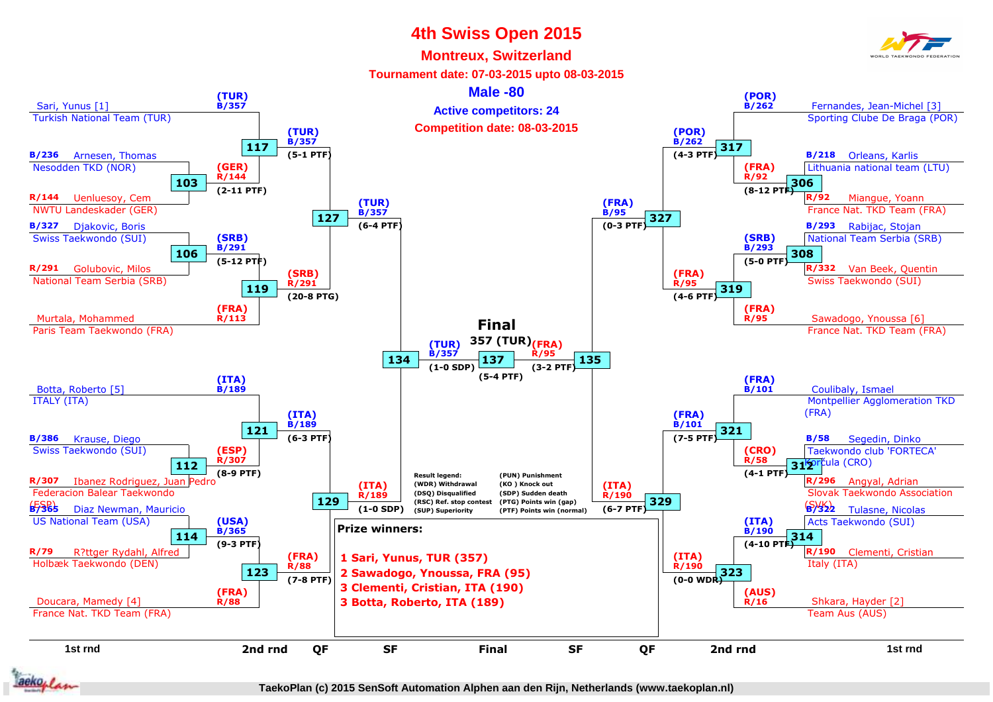#### **Montreux, Switzerland**



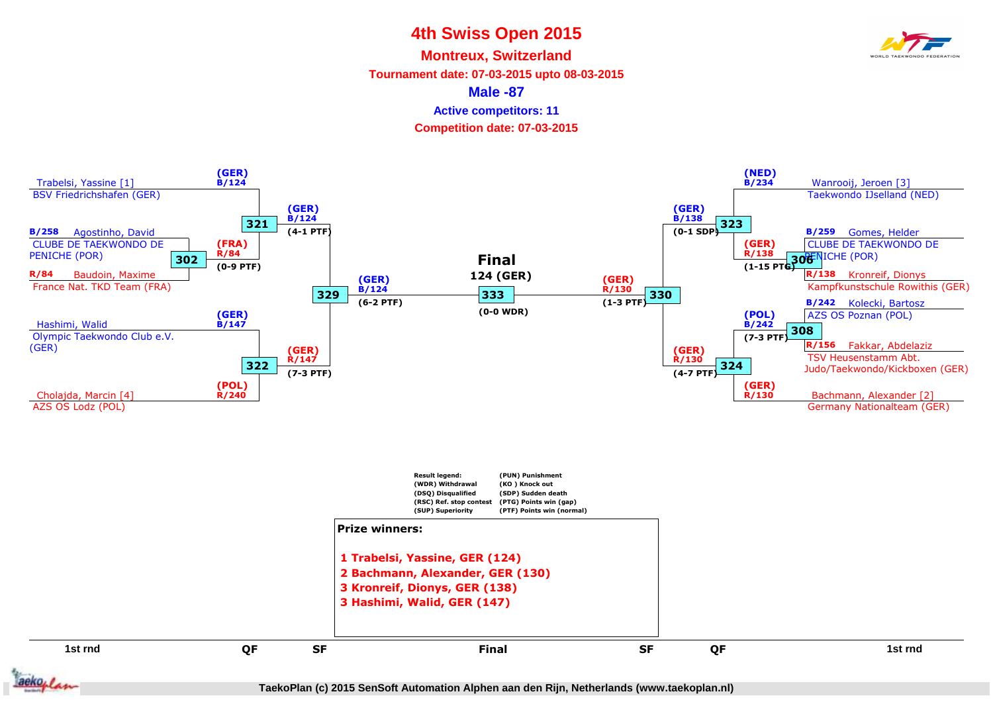**Montreux, Switzerland**

**Tournament date: 07-03-2015 upto 08-03-2015**

**Male -87**

**Active competitors: 11**

**Competition date: 07-03-2015**

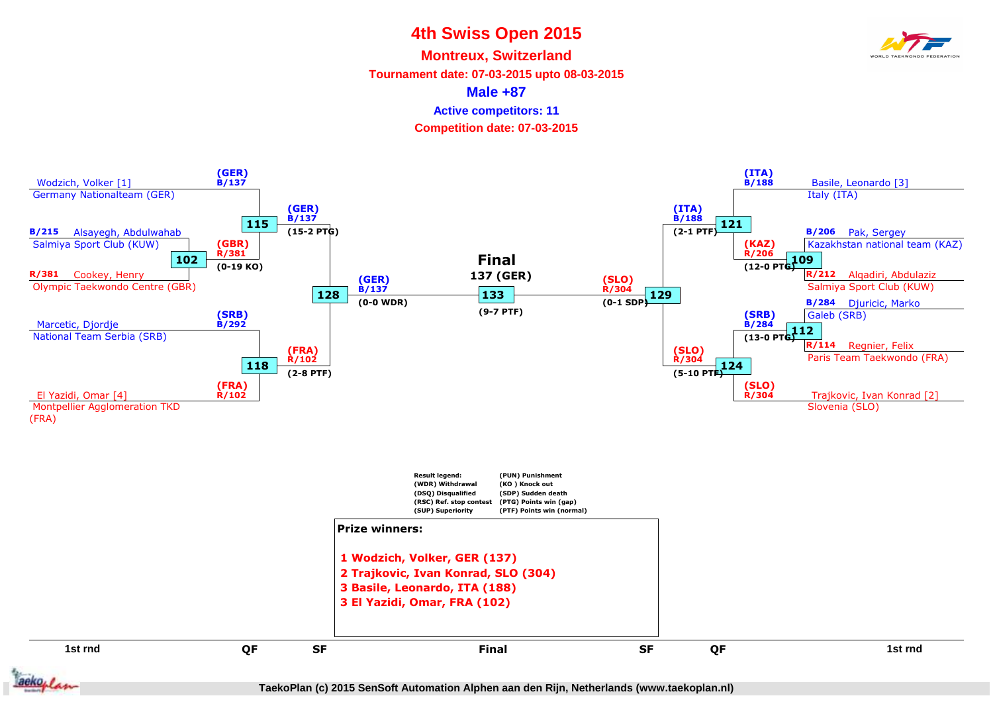**Montreux, Switzerland**

**Tournament date: 07-03-2015 upto 08-03-2015**

**Male +87**

**Active competitors: 11**

**Competition date: 07-03-2015**



![](_page_9_Picture_7.jpeg)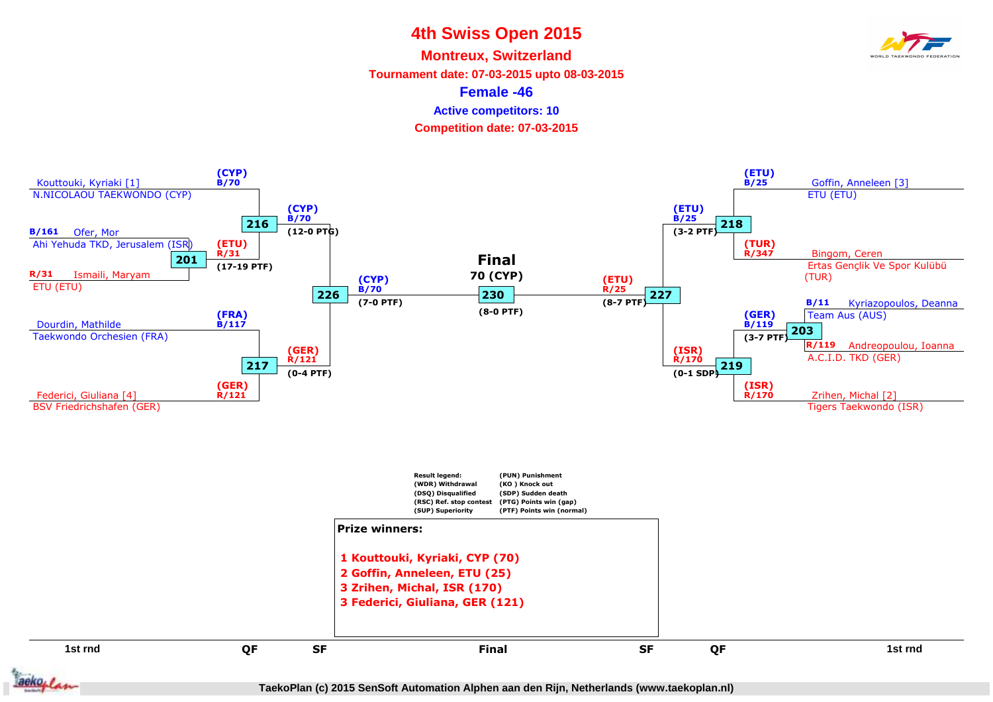**Montreux, Switzerland**

**Tournament date: 07-03-2015 upto 08-03-2015**

**Female -46**

**Active competitors: 10**

**Competition date: 07-03-2015**

![](_page_10_Figure_6.jpeg)

![](_page_10_Picture_7.jpeg)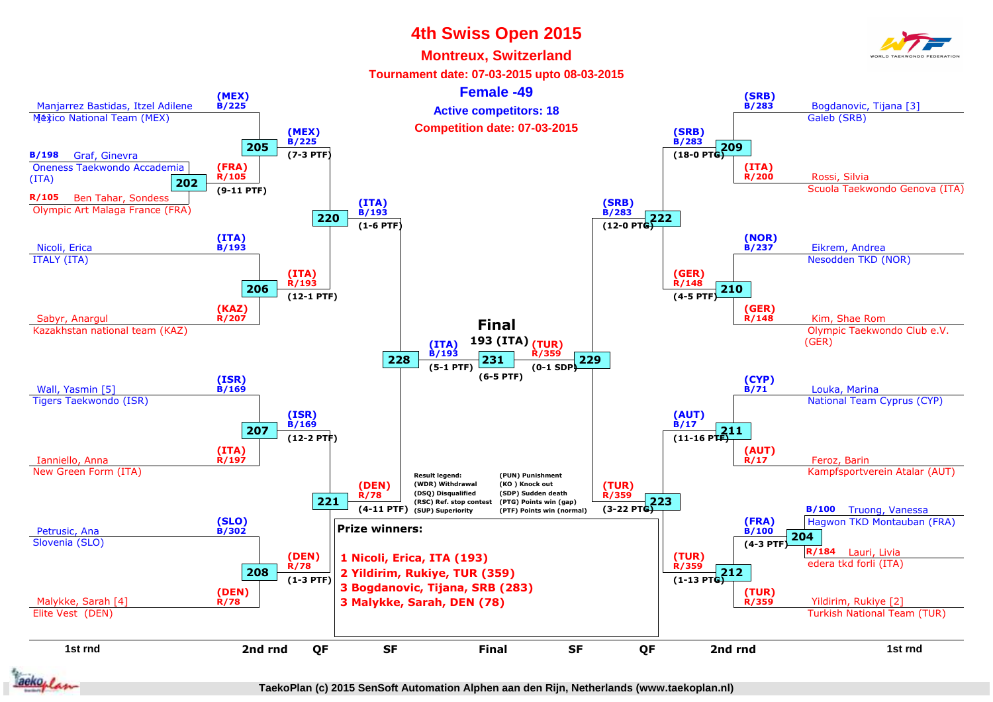#### **Montreux, Switzerland**

![](_page_11_Picture_2.jpeg)

![](_page_11_Picture_3.jpeg)

![](_page_11_Picture_6.jpeg)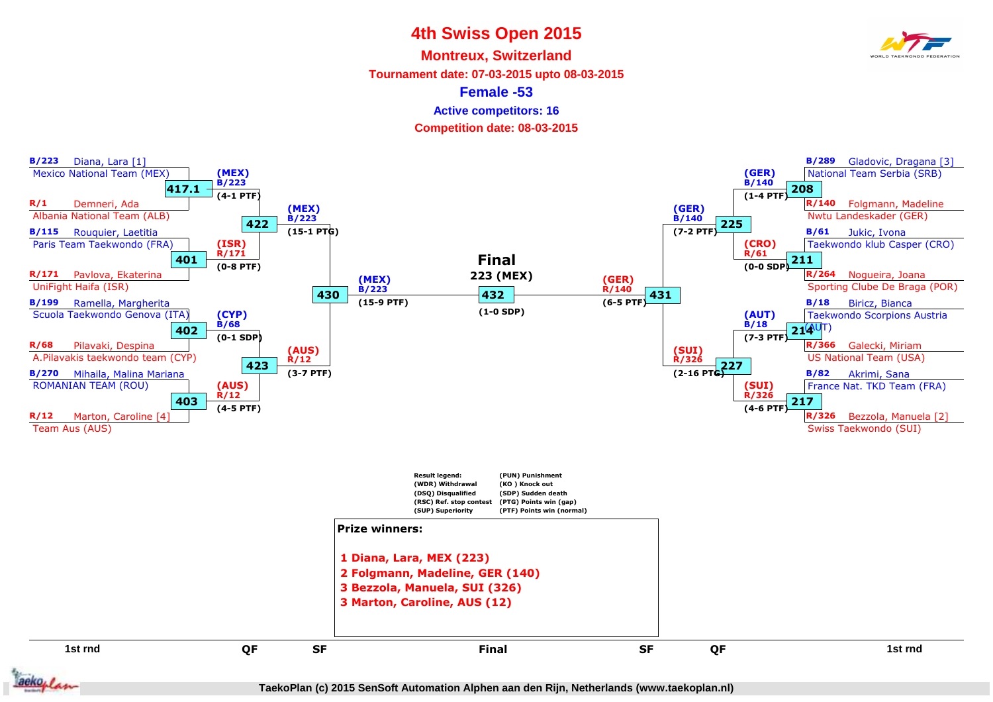**Montreux, Switzerland**

**Tournament date: 07-03-2015 upto 08-03-2015**

**Female -53**

**Active competitors: 16**

**Competition date: 08-03-2015**

![](_page_12_Figure_6.jpeg)

![](_page_12_Picture_7.jpeg)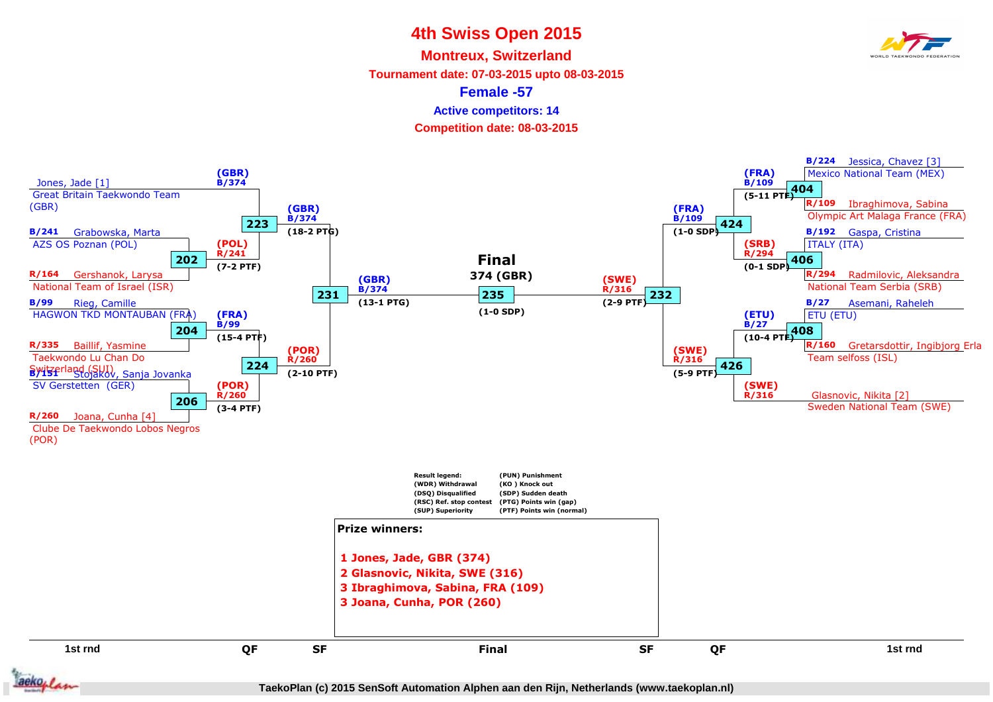**Montreux, Switzerland**

**Tournament date: 07-03-2015 upto 08-03-2015**

**Female -57**

**Active competitors: 14**

**Competition date: 08-03-2015**

![](_page_13_Figure_6.jpeg)

![](_page_13_Picture_7.jpeg)

**TaekoPlan (c) 2015 SenSoft Automation Alphen aan den Rijn, Netherlands (www.taekoplan.nl)**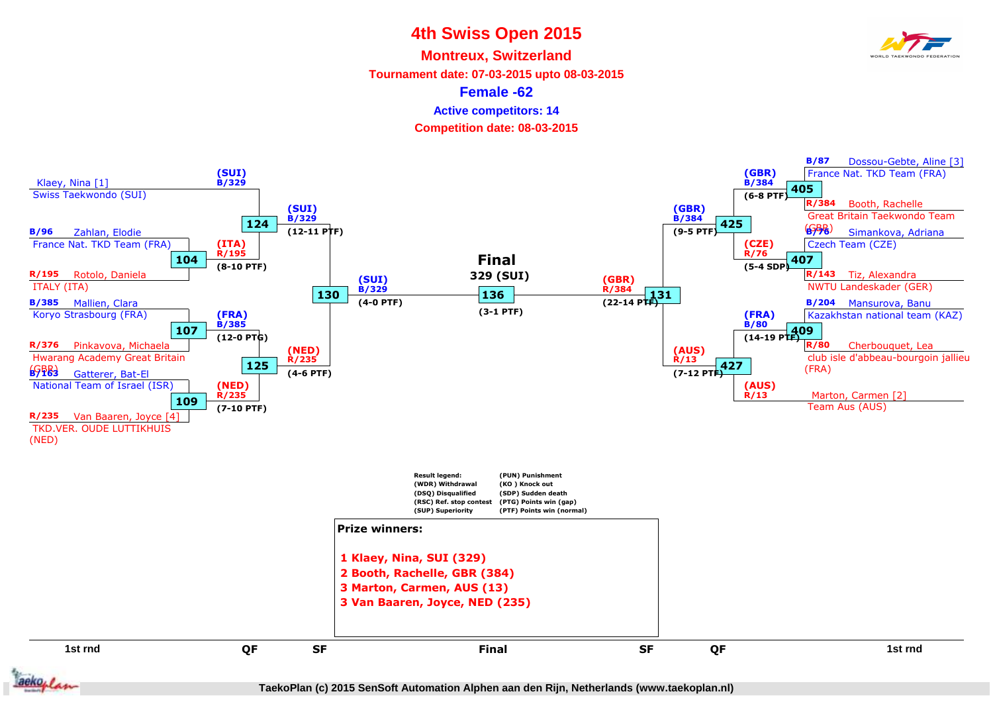**Montreux, Switzerland**

**Tournament date: 07-03-2015 upto 08-03-2015**

**Female -62**

**Active competitors: 14**

**Competition date: 08-03-2015**

![](_page_14_Figure_6.jpeg)

![](_page_14_Picture_7.jpeg)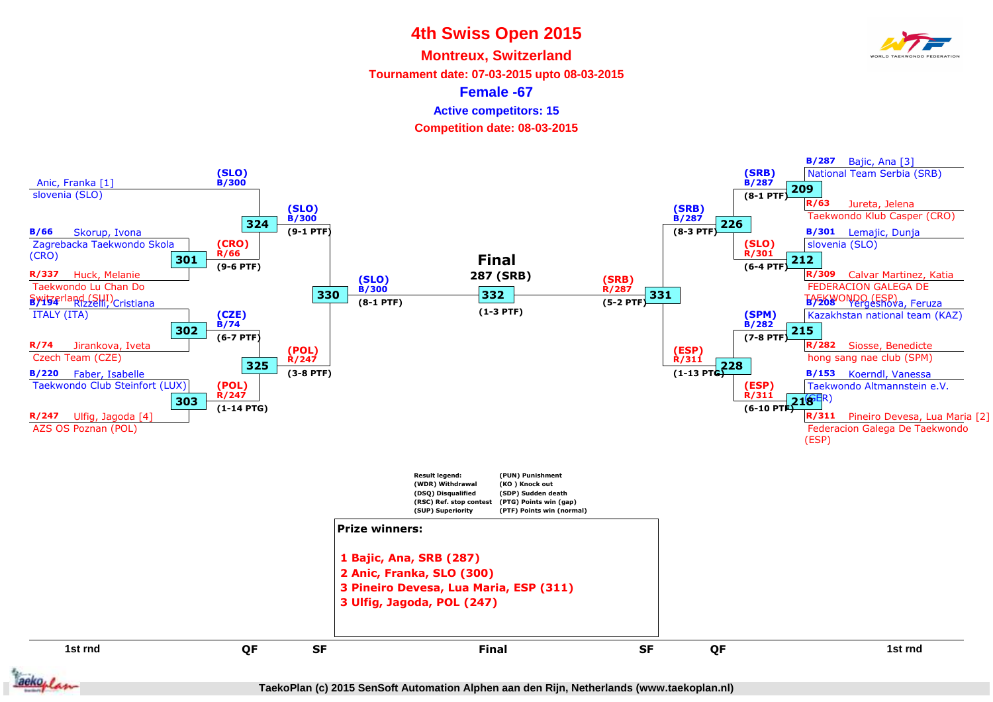**Montreux, Switzerland**

**Tournament date: 07-03-2015 upto 08-03-2015**

**Female -67**

**Active competitors: 15**

**Competition date: 08-03-2015**

![](_page_15_Figure_6.jpeg)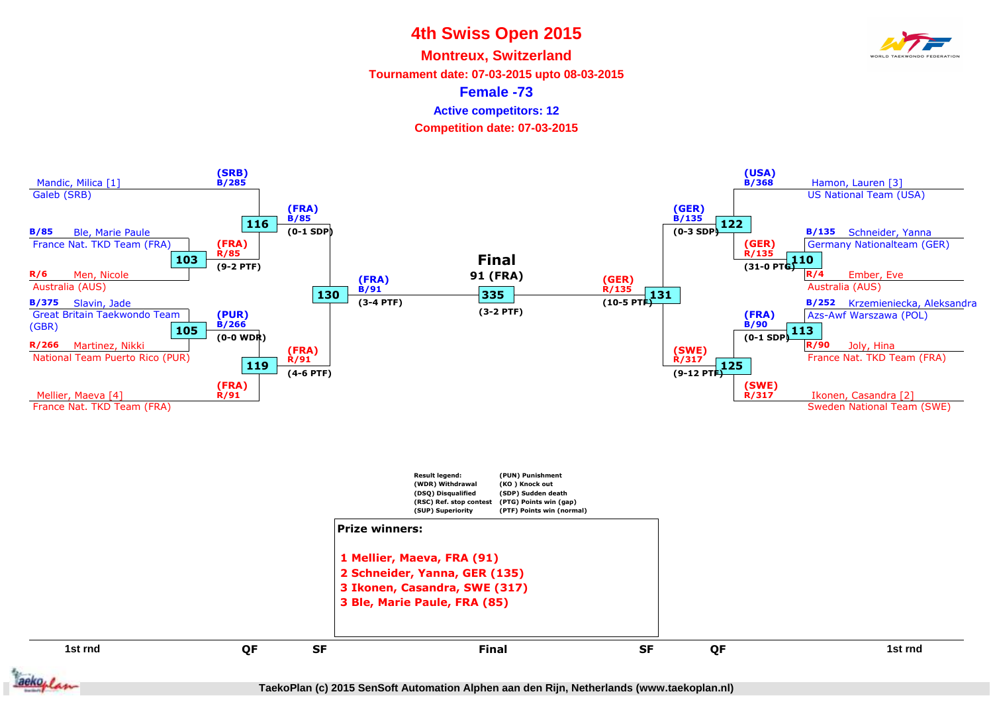**Montreux, Switzerland**

**Tournament date: 07-03-2015 upto 08-03-2015**

**Female -73**

**Active competitors: 12**

**Competition date: 07-03-2015**

![](_page_16_Figure_6.jpeg)

![](_page_16_Picture_7.jpeg)